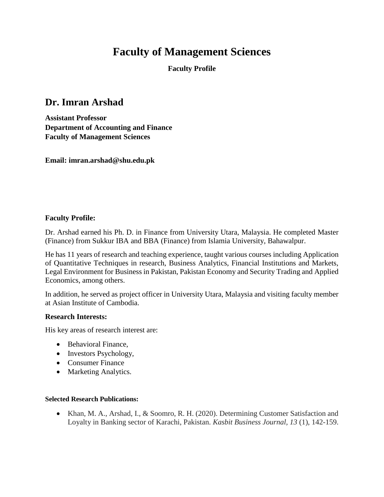# **Faculty of Management Sciences**

**Faculty Profile**

## **Dr. Imran Arshad**

**Assistant Professor Department of Accounting and Finance Faculty of Management Sciences** 

**Email: imran.arshad@shu.edu.pk**

### **Faculty Profile:**

Dr. Arshad earned his Ph. D. in Finance from University Utara, Malaysia. He completed Master (Finance) from Sukkur IBA and BBA (Finance) from Islamia University, Bahawalpur.

He has 11 years of research and teaching experience, taught various courses including Application of Quantitative Techniques in research, Business Analytics, Financial Institutions and Markets, Legal Environment for Business in Pakistan, Pakistan Economy and Security Trading and Applied Economics, among others.

In addition, he served as project officer in University Utara, Malaysia and visiting faculty member at Asian Institute of Cambodia.

#### **Research Interests:**

His key areas of research interest are:

- Behavioral Finance,
- Investors Psychology,
- Consumer Finance
- Marketing Analytics.

#### **Selected Research Publications:**

• Khan, M. A., Arshad, I., & Soomro, R. H. (2020). Determining Customer Satisfaction and Loyalty in Banking sector of Karachi, Pakistan. *Kasbit Business Journal, 13* (1), 142-159.